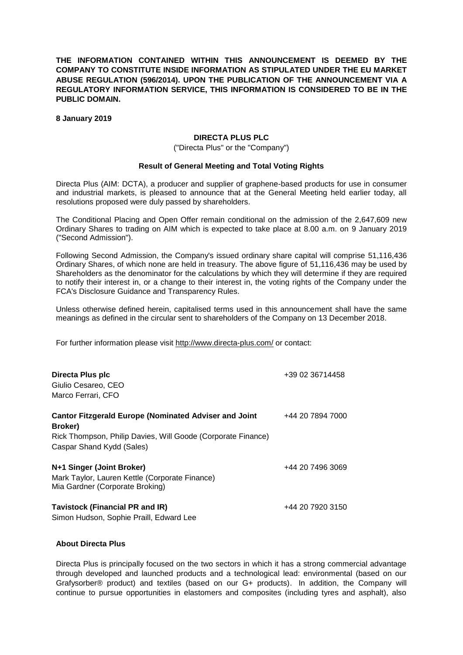**THE INFORMATION CONTAINED WITHIN THIS ANNOUNCEMENT IS DEEMED BY THE COMPANY TO CONSTITUTE INSIDE INFORMATION AS STIPULATED UNDER THE EU MARKET ABUSE REGULATION (596/2014). UPON THE PUBLICATION OF THE ANNOUNCEMENT VIA A REGULATORY INFORMATION SERVICE, THIS INFORMATION IS CONSIDERED TO BE IN THE PUBLIC DOMAIN.**

**8 January 2019**

## **DIRECTA PLUS PLC**

## ("Directa Plus" or the "Company")

## **Result of General Meeting and Total Voting Rights**

Directa Plus (AIM: DCTA), a producer and supplier of graphene-based products for use in consumer and industrial markets, is pleased to announce that at the General Meeting held earlier today, all resolutions proposed were duly passed by shareholders.

The Conditional Placing and Open Offer remain conditional on the admission of the 2,647,609 new Ordinary Shares to trading on AIM which is expected to take place at 8.00 a.m. on 9 January 2019 ("Second Admission").

Following Second Admission, the Company's issued ordinary share capital will comprise 51,116,436 Ordinary Shares, of which none are held in treasury. The above figure of 51,116,436 may be used by Shareholders as the denominator for the calculations by which they will determine if they are required to notify their interest in, or a change to their interest in, the voting rights of the Company under the FCA's Disclosure Guidance and Transparency Rules.

Unless otherwise defined herein, capitalised terms used in this announcement shall have the same meanings as defined in the circular sent to shareholders of the Company on 13 December 2018.

For further information please visit<http://www.directa-plus.com/> or contact:

| Directa Plus plc<br>Giulio Cesareo, CEO<br>Marco Ferrari, CFO                                                                                                        | +39 02 36714458  |
|----------------------------------------------------------------------------------------------------------------------------------------------------------------------|------------------|
| <b>Cantor Fitzgerald Europe (Nominated Adviser and Joint</b><br>Broker)<br>Rick Thompson, Philip Davies, Will Goode (Corporate Finance)<br>Caspar Shand Kydd (Sales) | +44 20 7894 7000 |
| N+1 Singer (Joint Broker)<br>Mark Taylor, Lauren Kettle (Corporate Finance)<br>Mia Gardner (Corporate Broking)                                                       | +44 20 7496 3069 |
| <b>Tavistock (Financial PR and IR)</b><br>Simon Hudson, Sophie Praill, Edward Lee                                                                                    | +44 20 7920 3150 |

## **About Directa Plus**

Directa Plus is principally focused on the two sectors in which it has a strong commercial advantage through developed and launched products and a technological lead: environmental (based on our Grafysorber® product) and textiles (based on our G+ products). In addition, the Company will continue to pursue opportunities in elastomers and composites (including tyres and asphalt), also